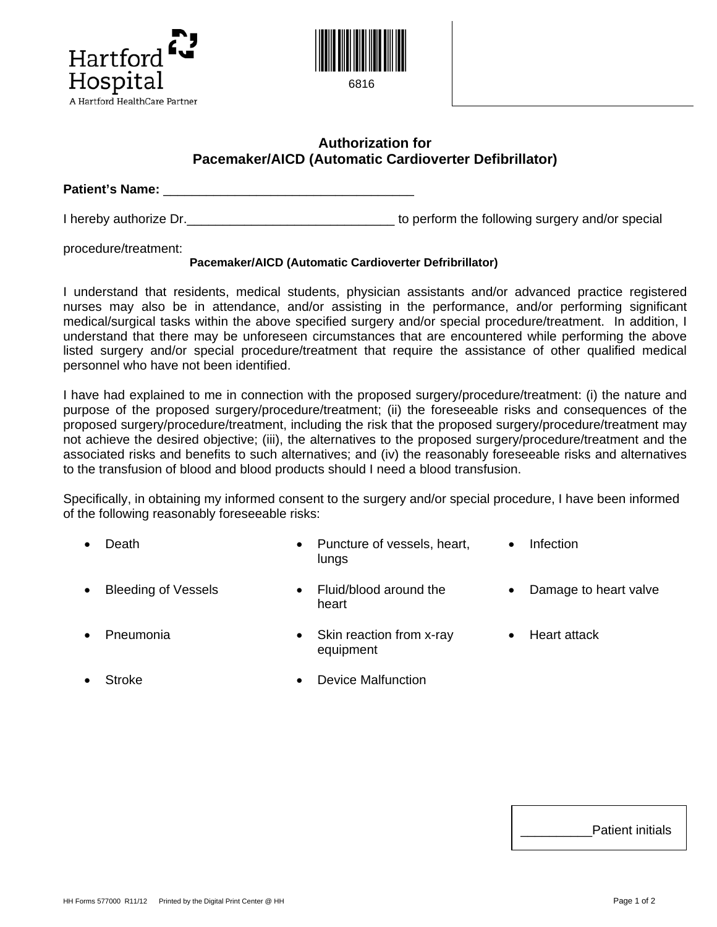



## **Authorization for Pacemaker/AICD (Automatic Cardioverter Defibrillator)**

**Patient's Name:** \_\_\_\_\_\_\_\_\_\_\_\_\_\_\_\_\_\_\_\_\_\_\_\_\_\_\_\_\_\_\_\_\_\_\_

I hereby authorize Dr. Contains the surface of the following surgery and/or special

procedure/treatment:

## **Pacemaker/AICD (Automatic Cardioverter Defribrillator)**

I understand that residents, medical students, physician assistants and/or advanced practice registered nurses may also be in attendance, and/or assisting in the performance, and/or performing significant medical/surgical tasks within the above specified surgery and/or special procedure/treatment. In addition, I understand that there may be unforeseen circumstances that are encountered while performing the above listed surgery and/or special procedure/treatment that require the assistance of other qualified medical personnel who have not been identified.

I have had explained to me in connection with the proposed surgery/procedure/treatment: (i) the nature and purpose of the proposed surgery/procedure/treatment; (ii) the foreseeable risks and consequences of the proposed surgery/procedure/treatment, including the risk that the proposed surgery/procedure/treatment may not achieve the desired objective; (iii), the alternatives to the proposed surgery/procedure/treatment and the associated risks and benefits to such alternatives; and (iv) the reasonably foreseeable risks and alternatives to the transfusion of blood and blood products should I need a blood transfusion.

Specifically, in obtaining my informed consent to the surgery and/or special procedure, I have been informed of the following reasonably foreseeable risks:

- **Death •** Puncture of vessels, heart, lungs • Infection
- 
- Bleeding of Vessels Fluid/blood around the heart
- Damage to heart valve
- **Pneumonia** Skin reaction from x-ray equipment • Heart attack
- - Stroke Device Malfunction

| <b>Patient initials</b> |
|-------------------------|
|-------------------------|